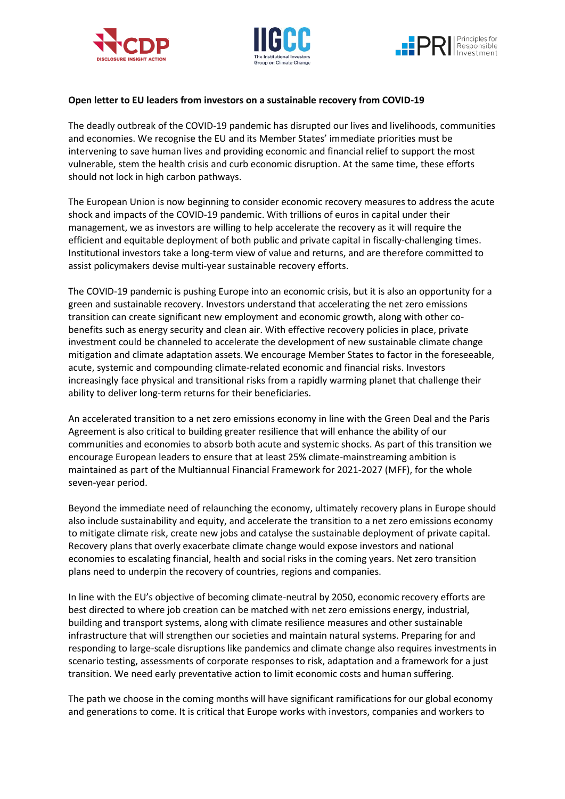





## **Open letter to EU leaders from investors on a sustainable recovery from COVID-19**

The deadly outbreak of the COVID-19 pandemic has disrupted our lives and livelihoods, communities and economies. We recognise the EU and its Member States' immediate priorities must be intervening to save human lives and providing economic and financial relief to support the most vulnerable, stem the health crisis and curb economic disruption. At the same time, these efforts should not lock in high carbon pathways.

The European Union is now beginning to consider economic recovery measures to address the acute shock and impacts of the COVID-19 pandemic. With trillions of euros in capital under their management, we as investors are willing to help accelerate the recovery as it will require the efficient and equitable deployment of both public and private capital in fiscally-challenging times. Institutional investors take a long-term view of value and returns, and are therefore committed to assist policymakers devise multi-year sustainable recovery efforts.

The COVID-19 pandemic is pushing Europe into an economic crisis, but it is also an opportunity for a green and sustainable recovery. Investors understand that accelerating the net zero emissions transition can create significant new employment and economic growth, along with other cobenefits such as energy security and clean air. With effective recovery policies in place, private investment could be channeled to accelerate the development of new sustainable climate change mitigation and climate adaptation assets. We encourage Member States to factor in the foreseeable, acute, systemic and compounding climate-related economic and financial risks. Investors increasingly face physical and transitional risks from a rapidly warming planet that challenge their ability to deliver long-term returns for their beneficiaries.

An accelerated transition to a net zero emissions economy in line with the Green Deal and the Paris Agreement is also critical to building greater resilience that will enhance the ability of our communities and economies to absorb both acute and systemic shocks. As part of this transition we encourage European leaders to ensure that at least 25% climate-mainstreaming ambition is maintained as part of the Multiannual Financial Framework for 2021-2027 (MFF), for the whole seven-year period.

Beyond the immediate need of relaunching the economy, ultimately recovery plans in Europe should also include sustainability and equity, and accelerate the transition to a net zero emissions economy to mitigate climate risk, create new jobs and catalyse the sustainable deployment of private capital. Recovery plans that overly exacerbate climate change would expose investors and national economies to escalating financial, health and social risks in the coming years. Net zero transition plans need to underpin the recovery of countries, regions and companies.

In line with the EU's objective of becoming climate-neutral by 2050, economic recovery efforts are best directed to where job creation can be matched with net zero emissions energy, industrial, building and transport systems, along with climate resilience measures and other sustainable infrastructure that will strengthen our societies and maintain natural systems. Preparing for and responding to large-scale disruptions like pandemics and climate change also requires investments in scenario testing, assessments of corporate responses to risk, adaptation and a framework for a just transition. We need early preventative action to limit economic costs and human suffering.

The path we choose in the coming months will have significant ramifications for our global economy and generations to come. It is critical that Europe works with investors, companies and workers to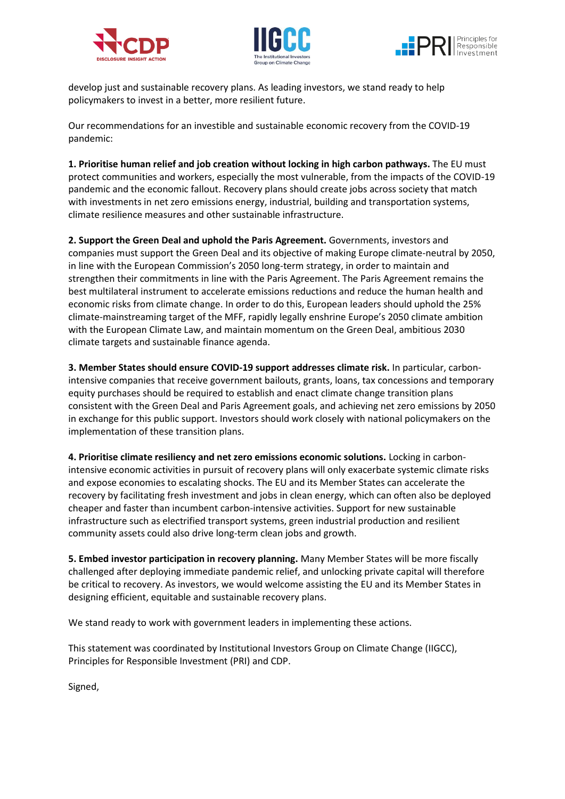





develop just and sustainable recovery plans. As leading investors, we stand ready to help policymakers to invest in a better, more resilient future.

Our recommendations for an investible and sustainable economic recovery from the COVID-19 pandemic:

**1. Prioritise human relief and job creation without locking in high carbon pathways.** The EU must protect communities and workers, especially the most vulnerable, from the impacts of the COVID-19 pandemic and the economic fallout. Recovery plans should create jobs across society that match with investments in net zero emissions energy, industrial, building and transportation systems, climate resilience measures and other sustainable infrastructure.

**2. Support the Green Deal and uphold the Paris Agreement.** Governments, investors and companies must support the Green Deal and its objective of making Europe climate-neutral by 2050, in line with the European Commission's 2050 long-term strategy, in order to maintain and strengthen their commitments in line with the Paris Agreement. The Paris Agreement remains the best multilateral instrument to accelerate emissions reductions and reduce the human health and economic risks from climate change. In order to do this, European leaders should uphold the 25% climate-mainstreaming target of the MFF, rapidly legally enshrine Europe's 2050 climate ambition with the European Climate Law, and maintain momentum on the Green Deal, ambitious 2030 climate targets and sustainable finance agenda.

**3. Member States should ensure COVID-19 support addresses climate risk.** In particular, carbonintensive companies that receive government bailouts, grants, loans, tax concessions and temporary equity purchases should be required to establish and enact climate change transition plans consistent with the Green Deal and Paris Agreement goals, and achieving net zero emissions by 2050 in exchange for this public support. Investors should work closely with national policymakers on the implementation of these transition plans.

**4. Prioritise climate resiliency and net zero emissions economic solutions.** Locking in carbonintensive economic activities in pursuit of recovery plans will only exacerbate systemic climate risks and expose economies to escalating shocks. The EU and its Member States can accelerate the recovery by facilitating fresh investment and jobs in clean energy, which can often also be deployed cheaper and faster than incumbent carbon-intensive activities. Support for new sustainable infrastructure such as electrified transport systems, green industrial production and resilient community assets could also drive long-term clean jobs and growth.

**5. Embed investor participation in recovery planning.** Many Member States will be more fiscally challenged after deploying immediate pandemic relief, and unlocking private capital will therefore be critical to recovery. As investors, we would welcome assisting the EU and its Member States in designing efficient, equitable and sustainable recovery plans.

We stand ready to work with government leaders in implementing these actions.

This statement was coordinated by Institutional Investors Group on Climate Change (IIGCC), Principles for Responsible Investment (PRI) and CDP.

Signed,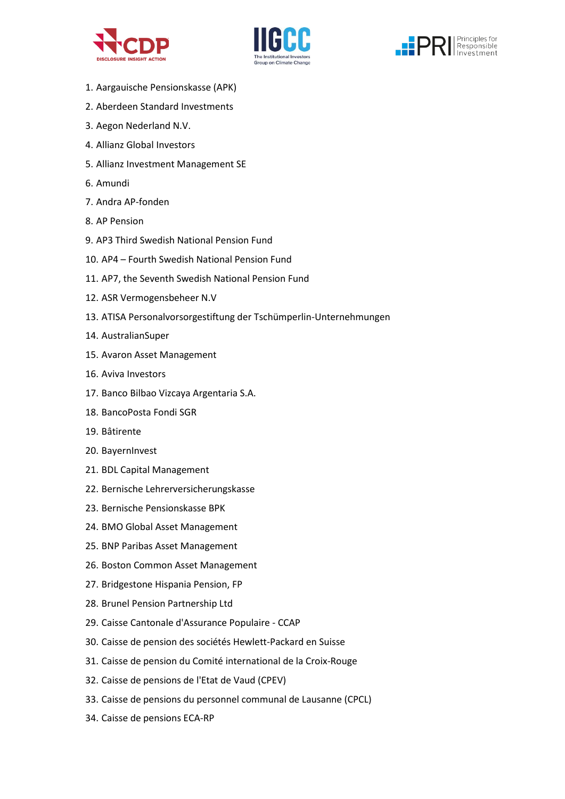





- 1. Aargauische Pensionskasse (APK)
- 2. Aberdeen Standard Investments
- 3. Aegon Nederland N.V.
- 4. Allianz Global Investors
- 5. Allianz Investment Management SE
- 6. Amundi
- 7. Andra AP-fonden
- 8. AP Pension
- 9. AP3 Third Swedish National Pension Fund
- 10. AP4 Fourth Swedish National Pension Fund
- 11. AP7, the Seventh Swedish National Pension Fund
- 12. ASR Vermogensbeheer N.V
- 13. ATISA Personalvorsorgestiftung der Tschümperlin-Unternehmungen
- 14. AustralianSuper
- 15. Avaron Asset Management
- 16. Aviva Investors
- 17. Banco Bilbao Vizcaya Argentaria S.A.
- 18. BancoPosta Fondi SGR
- 19. Bâtirente
- 20. BayernInvest
- 21. BDL Capital Management
- 22. Bernische Lehrerversicherungskasse
- 23. Bernische Pensionskasse BPK
- 24. BMO Global Asset Management
- 25. BNP Paribas Asset Management
- 26. Boston Common Asset Management
- 27. Bridgestone Hispania Pension, FP
- 28. Brunel Pension Partnership Ltd
- 29. Caisse Cantonale d'Assurance Populaire CCAP
- 30. Caisse de pension des sociétés Hewlett-Packard en Suisse
- 31. Caisse de pension du Comité international de la Croix-Rouge
- 32. Caisse de pensions de l'Etat de Vaud (CPEV)
- 33. Caisse de pensions du personnel communal de Lausanne (CPCL)
- 34. Caisse de pensions ECA-RP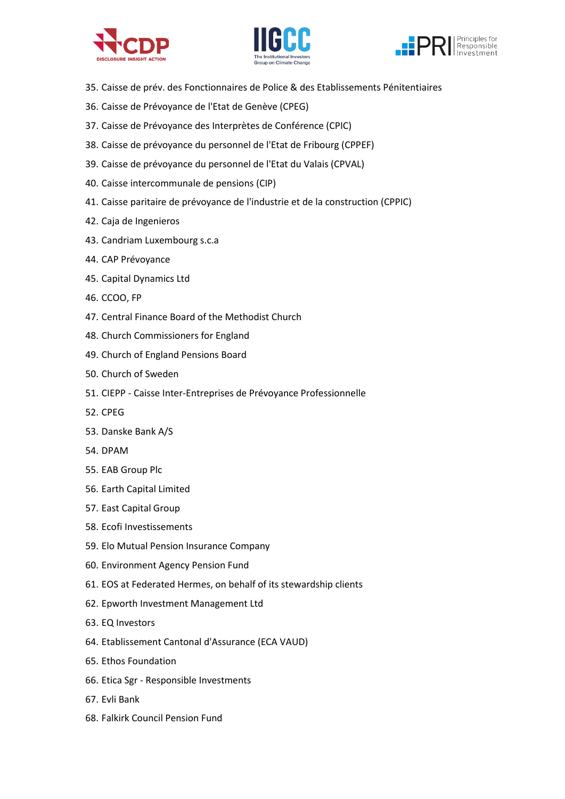





- 35. Caisse de prév. des Fonctionnaires de Police & des Etablissements Pénitentiaires
- 36. Caisse de Prévoyance de l'Etat de Genève (CPEG)
- 37. Caisse de Prévoyance des Interprètes de Conférence (CPIC)
- 38. Caisse de prévoyance du personnel de l'Etat de Fribourg (CPPEF)
- 39. Caisse de prévoyance du personnel de l'Etat du Valais (CPVAL)
- 40. Caisse intercommunale de pensions (CIP)
- 41. Caisse paritaire de prévoyance de l'industrie et de la construction (CPPIC)
- 42. Caja de Ingenieros
- 43. Candriam Luxembourg s.c.a
- 44. CAP Prévoyance
- 45. Capital Dynamics Ltd
- 46. CCOO, FP
- 47. Central Finance Board of the Methodist Church
- 48. Church Commissioners for England
- 49. Church of England Pensions Board
- 50. Church of Sweden
- 51. CIEPP Caisse Inter-Entreprises de Prévoyance Professionnelle
- 52. CPEG
- 53. Danske Bank A/S
- 54. DPAM
- 55. EAB Group Plc
- 56. Earth Capital Limited
- 57. East Capital Group
- 58. Ecofi Investissements
- 59. Elo Mutual Pension Insurance Company
- 60. Environment Agency Pension Fund
- 61. EOS at Federated Hermes, on behalf of its stewardship clients
- 62. Epworth Investment Management Ltd
- 63. EQ Investors
- 64. Etablissement Cantonal d'Assurance (ECA VAUD)
- 65. Ethos Foundation
- 66. Etica Sgr Responsible Investments
- 67. Evli Bank
- 68. Falkirk Council Pension Fund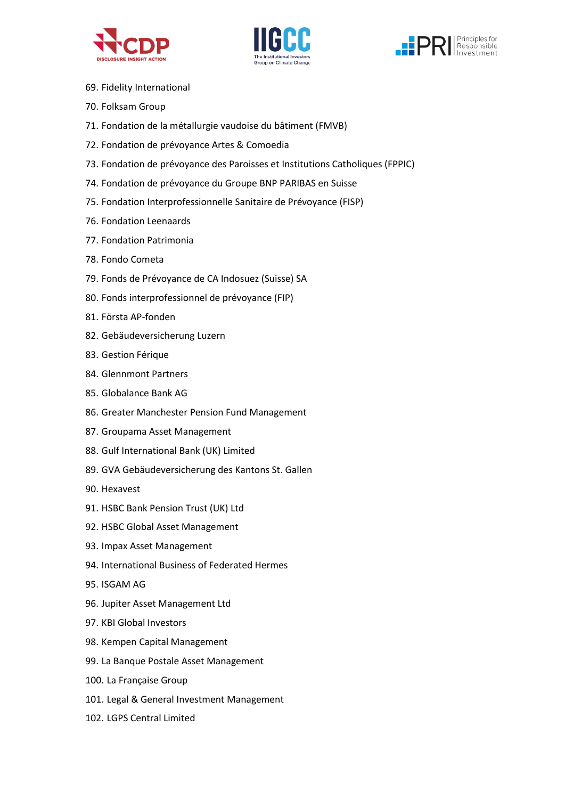





- 69. Fidelity International
- 70. Folksam Group
- 71. Fondation de la métallurgie vaudoise du bâtiment (FMVB)
- 72. Fondation de prévoyance Artes & Comoedia
- 73. Fondation de prévoyance des Paroisses et Institutions Catholiques (FPPIC)
- 74. Fondation de prévoyance du Groupe BNP PARIBAS en Suisse
- 75. Fondation Interprofessionnelle Sanitaire de Prévoyance (FISP)
- 76. Fondation Leenaards
- 77. Fondation Patrimonia
- 78. Fondo Cometa
- 79. Fonds de Prévoyance de CA Indosuez (Suisse) SA
- 80. Fonds interprofessionnel de prévoyance (FIP)
- 81. Första AP-fonden
- 82. Gebäudeversicherung Luzern
- 83. Gestion Férique
- 84. Glennmont Partners
- 85. Globalance Bank AG
- 86. Greater Manchester Pension Fund Management
- 87. Groupama Asset Management
- 88. Gulf International Bank (UK) Limited
- 89. GVA Gebäudeversicherung des Kantons St. Gallen
- 90. Hexavest
- 91. HSBC Bank Pension Trust (UK) Ltd
- 92. HSBC Global Asset Management
- 93. Impax Asset Management
- 94. International Business of Federated Hermes
- 95. ISGAM AG
- 96. Jupiter Asset Management Ltd
- 97. KBI Global Investors
- 98. Kempen Capital Management
- 99. La Banque Postale Asset Management
- 100. La Française Group
- 101. Legal & General Investment Management
- 102. LGPS Central Limited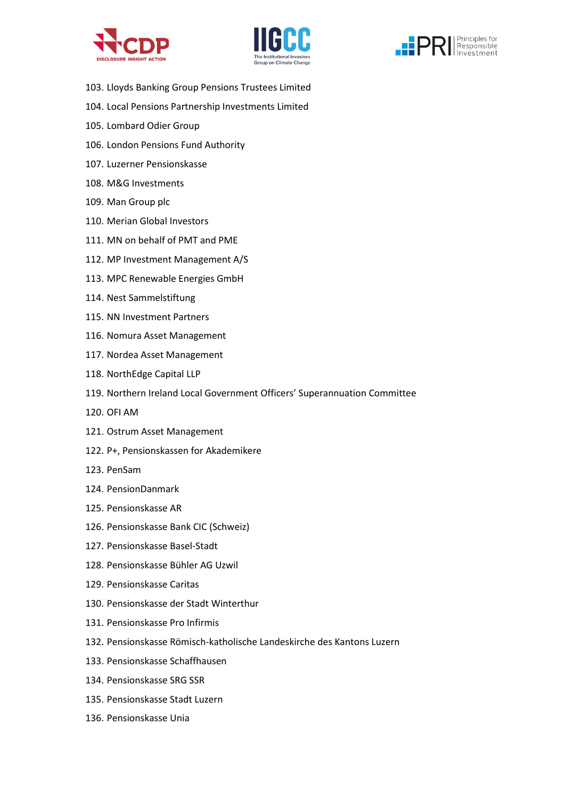





- 103. Lloyds Banking Group Pensions Trustees Limited
- 104. Local Pensions Partnership Investments Limited
- 105. Lombard Odier Group
- 106. London Pensions Fund Authority
- 107. Luzerner Pensionskasse
- 108. M&G Investments
- 109. Man Group plc
- 110. Merian Global Investors
- 111. MN on behalf of PMT and PME
- 112. MP Investment Management A/S
- 113. MPC Renewable Energies GmbH
- 114. Nest Sammelstiftung
- 115. NN Investment Partners
- 116. Nomura Asset Management
- 117. Nordea Asset Management
- 118. NorthEdge Capital LLP
- 119. Northern Ireland Local Government Officers' Superannuation Committee
- 120. OFI AM
- 121. Ostrum Asset Management
- 122. P+, Pensionskassen for Akademikere
- 123. PenSam
- 124. PensionDanmark
- 125. Pensionskasse AR
- 126. Pensionskasse Bank CIC (Schweiz)
- 127. Pensionskasse Basel-Stadt
- 128. Pensionskasse Bühler AG Uzwil
- 129. Pensionskasse Caritas
- 130. Pensionskasse der Stadt Winterthur
- 131. Pensionskasse Pro Infirmis
- 132. Pensionskasse Römisch-katholische Landeskirche des Kantons Luzern
- 133. Pensionskasse Schaffhausen
- 134. Pensionskasse SRG SSR
- 135. Pensionskasse Stadt Luzern
- 136. Pensionskasse Unia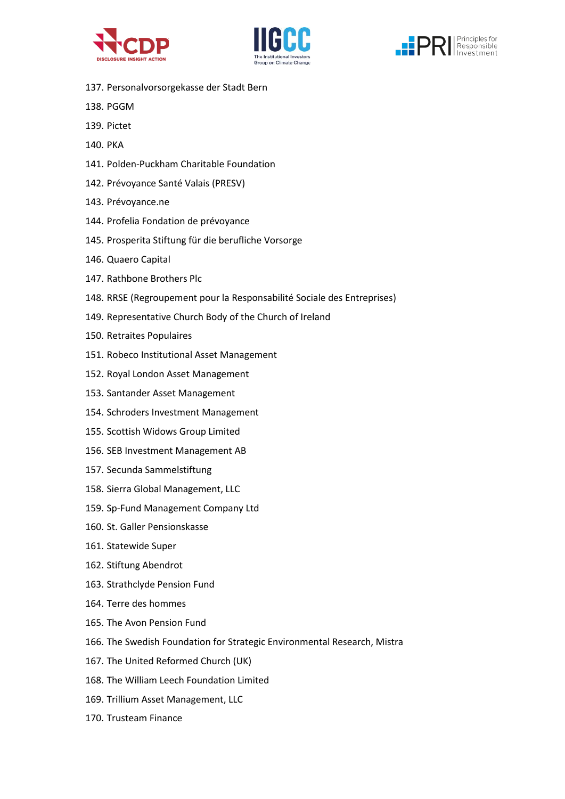





- 137. Personalvorsorgekasse der Stadt Bern
- 138. PGGM
- 139. Pictet
- 140. PKA
- 141. Polden-Puckham Charitable Foundation
- 142. Prévoyance Santé Valais (PRESV)
- 143. Prévoyance.ne
- 144. Profelia Fondation de prévoyance
- 145. Prosperita Stiftung für die berufliche Vorsorge
- 146. Quaero Capital
- 147. Rathbone Brothers Plc
- 148. RRSE (Regroupement pour la Responsabilité Sociale des Entreprises)
- 149. Representative Church Body of the Church of Ireland
- 150. Retraites Populaires
- 151. Robeco Institutional Asset Management
- 152. Royal London Asset Management
- 153. Santander Asset Management
- 154. Schroders Investment Management
- 155. Scottish Widows Group Limited
- 156. SEB Investment Management AB
- 157. Secunda Sammelstiftung
- 158. Sierra Global Management, LLC
- 159. Sp-Fund Management Company Ltd
- 160. St. Galler Pensionskasse
- 161. Statewide Super
- 162. Stiftung Abendrot
- 163. Strathclyde Pension Fund
- 164. Terre des hommes
- 165. The Avon Pension Fund
- 166. The Swedish Foundation for Strategic Environmental Research, Mistra
- 167. The United Reformed Church (UK)
- 168. The William Leech Foundation Limited
- 169. Trillium Asset Management, LLC
- 170. Trusteam Finance